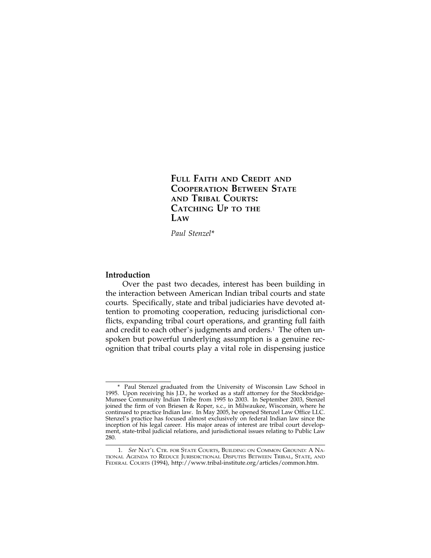**FULL FAITH AND CREDIT AND COOPERATION BETWEEN STATE AND TRIBAL COURTS: CATCHING UP TO THE LAW**

*Paul Stenzel*\*

# **Introduction**

Over the past two decades, interest has been building in the interaction between American Indian tribal courts and state courts. Specifically, state and tribal judiciaries have devoted attention to promoting cooperation, reducing jurisdictional conflicts, expanding tribal court operations, and granting full faith and credit to each other's judgments and orders.<sup>1</sup> The often unspoken but powerful underlying assumption is a genuine recognition that tribal courts play a vital role in dispensing justice

<sup>\*</sup> Paul Stenzel graduated from the University of Wisconsin Law School in 1995. Upon receiving his J.D., he worked as a staff attorney for the Stockbridge-Munsee Community Indian Tribe from 1995 to 2003. In September 2003, Stenzel joined the firm of von Briesen & Roper, s.c., in Milwaukee, Wisconsin, where he continued to practice Indian law. In May 2005, he opened Stenzel Law Office LLC. Stenzel's practice has focused almost exclusively on federal Indian law since the inception of his legal career. His major areas of interest are tribal court development, state-tribal judicial relations, and jurisdictional issues relating to Public Law 280.

<sup>1.</sup> *See* NAT'L CTR. FOR STATE COURTS, BUILDING ON COMMON GROUND: A NA-TIONAL AGENDA TO REDUCE JURISDICTIONAL DISPUTES BETWEEN TRIBAL, STATE, AND FEDERAL COURTS (1994), http://www.tribal-institute.org/articles/common.htm.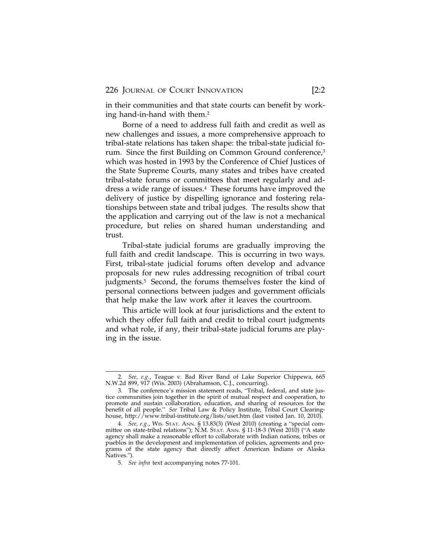in their communities and that state courts can benefit by working hand-in-hand with them.2

Borne of a need to address full faith and credit as well as new challenges and issues, a more comprehensive approach to tribal-state relations has taken shape: the tribal-state judicial forum. Since the first Building on Common Ground conference,<sup>3</sup> which was hosted in 1993 by the Conference of Chief Justices of the State Supreme Courts, many states and tribes have created tribal-state forums or committees that meet regularly and address a wide range of issues.4 These forums have improved the delivery of justice by dispelling ignorance and fostering relationships between state and tribal judges. The results show that the application and carrying out of the law is not a mechanical procedure, but relies on shared human understanding and trust.

Tribal-state judicial forums are gradually improving the full faith and credit landscape. This is occurring in two ways. First, tribal-state judicial forums often develop and advance proposals for new rules addressing recognition of tribal court judgments.<sup>5</sup> Second, the forums themselves foster the kind of personal connections between judges and government officials that help make the law work after it leaves the courtroom.

This article will look at four jurisdictions and the extent to which they offer full faith and credit to tribal court judgments and what role, if any, their tribal-state judicial forums are playing in the issue.

<sup>2.</sup> *See, e.g.*, Teague v. Bad River Band of Lake Superior Chippewa, 665 N.W.2d 899, 917 (Wis. 2003) (Abrahamson, C.J., concurring).

<sup>3.</sup> The conference's mission statement reads, "Tribal, federal, and state justice communities join together in the spirit of mutual respect and cooperation, to promote and sustain collaboration, education, and sharing of resources for the benefit of all people." *See* Tribal Law & Policy Institute, Tribal Court Clearinghouse, http://www.tribal-institute.org/lists/uset.htm (last visited Jan. 10, 2010).

<sup>4.</sup> *See, e.g.*, WIS. STAT. ANN. § 13.83(3) (West 2010) (creating a "special committee on state-tribal relations"); N.M. STAT. ANN. § 11-18-3 (West 2010) ("A state agency shall make a reasonable effort to collaborate with Indian nations, tribes or pueblos in the development and implementation of policies, agreements and programs of the state agency that directly affect American Indians or Alaska Natives.").

<sup>5.</sup> *See infra* text accompanying notes 77-101.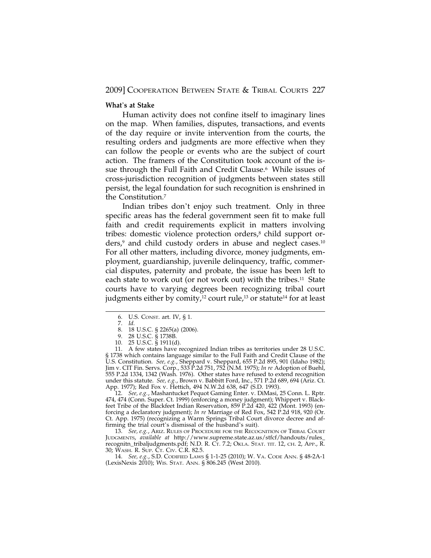# **What**'**s at Stake**

Human activity does not confine itself to imaginary lines on the map. When families, disputes, transactions, and events of the day require or invite intervention from the courts, the resulting orders and judgments are more effective when they can follow the people or events who are the subject of court action. The framers of the Constitution took account of the issue through the Full Faith and Credit Clause.<sup>6</sup> While issues of cross-jurisdiction recognition of judgments between states still persist, the legal foundation for such recognition is enshrined in the Constitution.7

Indian tribes don't enjoy such treatment. Only in three specific areas has the federal government seen fit to make full faith and credit requirements explicit in matters involving tribes: domestic violence protection orders,<sup>8</sup> child support or $ders<sub>l</sub><sup>9</sup>$  and child custody orders in abuse and neglect cases.<sup>10</sup> For all other matters, including divorce, money judgments, employment, guardianship, juvenile delinquency, traffic, commercial disputes, paternity and probate, the issue has been left to each state to work out (or not work out) with the tribes.<sup>11</sup> State courts have to varying degrees been recognizing tribal court judgments either by comity,<sup>12</sup> court rule,<sup>13</sup> or statute<sup>14</sup> for at least

12. *See, e.g.*, Mashantucket Pequot Gaming Enter. v. DiMasi, 25 Conn. L. Rptr. 474, 474 (Conn. Super. Ct. 1999) (enforcing a money judgment); Whippert v. Blackfeet Tribe of the Blackfeet Indian Reservation, 859 P.2d 420, 422 (Mont. 1993) (enforcing a declaratory judgment); *In re* Marriage of Red Fox, 542 P.2d 918, 920 (Or. Ct. App. 1975) (recognizing a Warm Springs Tribal Court divorce decree and affirming the trial court's dismissal of the husband's suit).

13. *See, e.g.*, ARIZ. RULES OF PROCEDURE FOR THE RECOGNITION OF TRIBAL COURT JUDGMENTS, *available at* http://www.supreme.state.az.us/stfcf/handouts/rules\_ recognitn\_tribaljudgments.pdf; N.D. R. CT. 7.2; OKLA. STAT. TIT. 12, CH. 2, APP., R. 30; WASH. R. SUP. CT. CIV. C.R. 82.5.

14. *See, e.g.*, S.D. CODIFIED LAWS § 1-1-25 (2010); W. VA. CODE ANN. § 48-2A-1 (LexisNexis 2010); WIS. STAT. ANN. § 806.245 (West 2010).

<sup>6.</sup> U.S. CONST. art. IV, § 1.

<sup>7.</sup> *Id.*

<sup>8. 18</sup> U.S.C. § 2265(a) (2006).

<sup>9. 28</sup> U.S.C. § 1738B.

<sup>10. 25</sup> U.S.C. § 1911(d).

<sup>11.</sup> A few states have recognized Indian tribes as territories under 28 U.S.C. § 1738 which contains language similar to the Full Faith and Credit Clause of the U.S. Constitution. *See, e.g.*, Sheppard v. Sheppard, 655 P.2d 895, 901 (Idaho 1982); Jim v. CIT Fin. Servs. Corp., 533 P.2d 751, 752 (N.M. 1975); *In re* Adoption of Buehl, 555 P.2d 1334, 1342 (Wash. 1976). Other states have refused to extend recognition under this statute. *See, e.g.*, Brown v. Babbitt Ford, Inc., 571 P.2d 689, 694 (Ariz. Ct. App. 1977); Red Fox v. Hettich, 494 N.W.2d 638, 647 (S.D. 1993).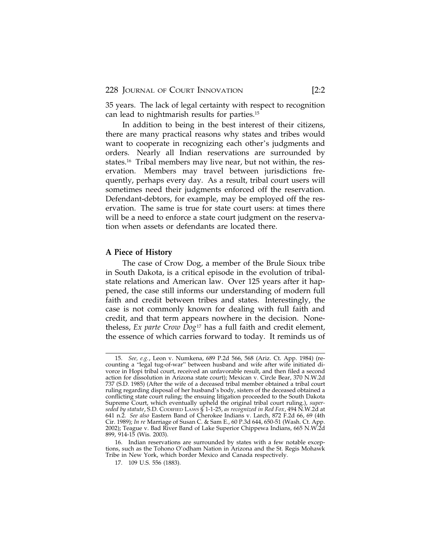228 JOURNAL OF COURT INNOVATION [2:2

35 years. The lack of legal certainty with respect to recognition can lead to nightmarish results for parties.15

In addition to being in the best interest of their citizens, there are many practical reasons why states and tribes would want to cooperate in recognizing each other's judgments and orders. Nearly all Indian reservations are surrounded by states.16 Tribal members may live near, but not within, the reservation. Members may travel between jurisdictions frequently, perhaps every day. As a result, tribal court users will sometimes need their judgments enforced off the reservation. Defendant-debtors, for example, may be employed off the reservation. The same is true for state court users: at times there will be a need to enforce a state court judgment on the reservation when assets or defendants are located there.

## **A Piece of History**

The case of Crow Dog, a member of the Brule Sioux tribe in South Dakota, is a critical episode in the evolution of tribalstate relations and American law. Over 125 years after it happened, the case still informs our understanding of modern full faith and credit between tribes and states. Interestingly, the case is not commonly known for dealing with full faith and credit, and that term appears nowhere in the decision. Nonetheless, *Ex parte Crow Dog*17 has a full faith and credit element, the essence of which carries forward to today. It reminds us of

<sup>15.</sup> *See, e.g.*, Leon v. Numkena, 689 P.2d 566, 568 (Ariz. Ct. App. 1984) (recounting a "legal tug-of-war" between husband and wife after wife initiated divorce in Hopi tribal court, received an unfavorable result, and then filed a second action for dissolution in Arizona state court); Mexican v. Circle Bear, 370 N.W.2d 737 (S.D. 1985) (After the wife of a deceased tribal member obtained a tribal court ruling regarding disposal of her husband's body, sisters of the deceased obtained a conflicting state court ruling; the ensuing litigation proceeded to the South Dakota Supreme Court, which eventually upheld the original tribal court ruling.), *superseded by statute*, S.D. CODIFIED LAWS § 1-1-25, *as recognized in Red Fox*, 494 N.W.2d at 641 n.2. *See also* Eastern Band of Cherokee Indians v. Larch, 872 F.2d 66, 69 (4th Cir. 1989); *In re* Marriage of Susan C. & Sam E., 60 P.3d 644, 650-51 (Wash. Ct. App. 2002); Teague v. Bad River Band of Lake Superior Chippewa Indians, 665 N.W.2d 899, 914-15 (Wis. 2003).

<sup>16.</sup> Indian reservations are surrounded by states with a few notable exceptions, such as the Tohono O'odham Nation in Arizona and the St. Regis Mohawk Tribe in New York, which border Mexico and Canada respectively.

<sup>17. 109</sup> U.S. 556 (1883).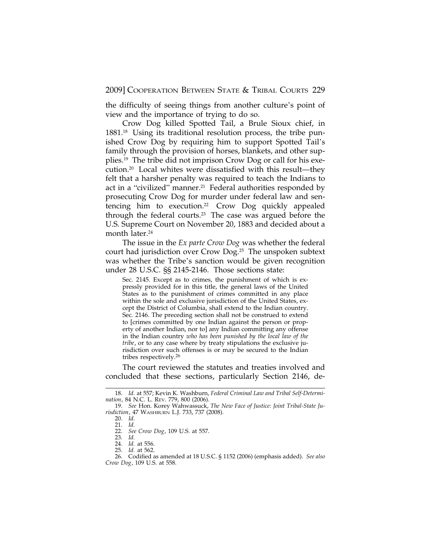the difficulty of seeing things from another culture's point of view and the importance of trying to do so.

Crow Dog killed Spotted Tail, a Brule Sioux chief, in 1881.18 Using its traditional resolution process, the tribe punished Crow Dog by requiring him to support Spotted Tail's family through the provision of horses, blankets, and other supplies.19 The tribe did not imprison Crow Dog or call for his execution.20 Local whites were dissatisfied with this result—they felt that a harsher penalty was required to teach the Indians to act in a "civilized" manner.<sup>21</sup> Federal authorities responded by prosecuting Crow Dog for murder under federal law and sentencing him to execution.22 Crow Dog quickly appealed through the federal courts.23 The case was argued before the U.S. Supreme Court on November 20, 1883 and decided about a month later.<sup>24</sup>

The issue in the *Ex parte Crow Dog* was whether the federal court had jurisdiction over Crow Dog.25 The unspoken subtext was whether the Tribe's sanction would be given recognition under 28 U.S.C. §§ 2145-2146. Those sections state:

Sec. 2145. Except as to crimes, the punishment of which is expressly provided for in this title, the general laws of the United States as to the punishment of crimes committed in any place within the sole and exclusive jurisdiction of the United States, except the District of Columbia, shall extend to the Indian country. Sec. 2146. The preceding section shall not be construed to extend to [crimes committed by one Indian against the person or property of another Indian, nor to] any Indian committing any offense in the Indian country *who has been punished by the local law of the tribe*, or to any case where by treaty stipulations the exclusive jurisdiction over such offenses is or may be secured to the Indian tribes respectively.<sup>26</sup>

The court reviewed the statutes and treaties involved and concluded that these sections, particularly Section 2146, de-

<sup>18.</sup> *Id.* at 557; Kevin K. Washburn, *Federal Criminal Law and Tribal Self-Determination*, 84 N.C. L. REV. 779, 800 (2006).

<sup>19.</sup> *See* Hon. Korey Wahwassuck, *The New Face of Justice: Joint Tribal-State Jurisdiction*, 47 WASHBURN L.J. 733, 737 (2008).

<sup>20.</sup> *Id.*

<sup>21.</sup> *Id.* 22. *See Crow Dog*, 109 U.S. at 557.

<sup>23.</sup> *Id.*

<sup>24.</sup> *Id.* at 556.

<sup>25.</sup> *Id.* at 562.

<sup>26.</sup> Codified as amended at 18 U.S.C. § 1152 (2006) (emphasis added). *See also Crow Dog*, 109 U.S. at 558.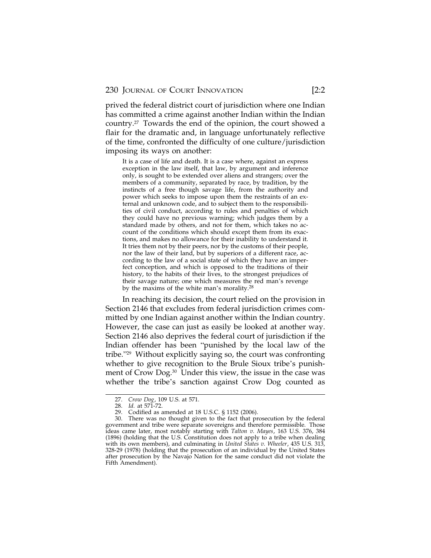prived the federal district court of jurisdiction where one Indian has committed a crime against another Indian within the Indian country.27 Towards the end of the opinion, the court showed a flair for the dramatic and, in language unfortunately reflective of the time, confronted the difficulty of one culture/jurisdiction imposing its ways on another:

It is a case of life and death. It is a case where, against an express exception in the law itself, that law, by argument and inference only, is sought to be extended over aliens and strangers; over the members of a community, separated by race, by tradition, by the instincts of a free though savage life, from the authority and power which seeks to impose upon them the restraints of an external and unknown code, and to subject them to the responsibilities of civil conduct, according to rules and penalties of which they could have no previous warning; which judges them by a standard made by others, and not for them, which takes no account of the conditions which should except them from its exactions, and makes no allowance for their inability to understand it. It tries them not by their peers, nor by the customs of their people, nor the law of their land, but by superiors of a different race, according to the law of a social state of which they have an imperfect conception, and which is opposed to the traditions of their history, to the habits of their lives, to the strongest prejudices of their savage nature; one which measures the red man's revenge by the maxims of the white man's morality.<sup>28</sup>

In reaching its decision, the court relied on the provision in Section 2146 that excludes from federal jurisdiction crimes committed by one Indian against another within the Indian country. However, the case can just as easily be looked at another way. Section 2146 also deprives the federal court of jurisdiction if the Indian offender has been "punished by the local law of the tribe."29 Without explicitly saying so, the court was confronting whether to give recognition to the Brule Sioux tribe's punishment of Crow Dog.30 Under this view, the issue in the case was whether the tribe's sanction against Crow Dog counted as

<sup>27.</sup> *Crow Dog*, 109 U.S. at 571.

<sup>28.</sup> *Id.* at 571-72.

<sup>29.</sup> Codified as amended at 18 U.S.C. § 1152 (2006).

<sup>30.</sup> There was no thought given to the fact that prosecution by the federal government and tribe were separate sovereigns and therefore permissible. Those ideas came later, most notably starting with *Talton v. Mayes*, 163 U.S. 376, 384 (1896) (holding that the U.S. Constitution does not apply to a tribe when dealing with its own members), and culminating in *United States v. Wheeler*, 435 U.S. 313, 328-29 (1978) (holding that the prosecution of an individual by the United States after prosecution by the Navajo Nation for the same conduct did not violate the Fifth Amendment).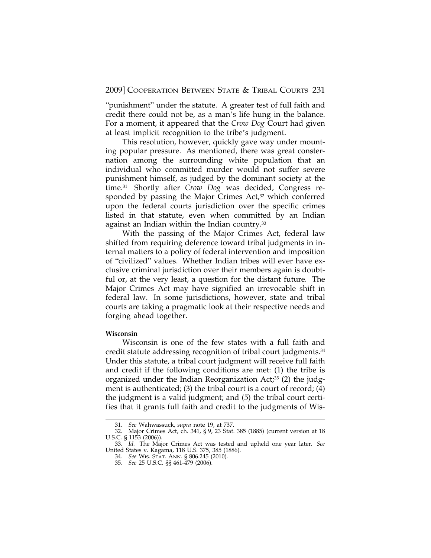"punishment" under the statute. A greater test of full faith and credit there could not be, as a man's life hung in the balance. For a moment, it appeared that the *Crow Dog* Court had given at least implicit recognition to the tribe's judgment.

This resolution, however, quickly gave way under mounting popular pressure. As mentioned, there was great consternation among the surrounding white population that an individual who committed murder would not suffer severe punishment himself, as judged by the dominant society at the time.31 Shortly after *Crow Dog* was decided, Congress responded by passing the Major Crimes  $Act<sub>1</sub><sup>32</sup>$  which conferred upon the federal courts jurisdiction over the specific crimes listed in that statute, even when committed by an Indian against an Indian within the Indian country.<sup>33</sup>

With the passing of the Major Crimes Act, federal law shifted from requiring deference toward tribal judgments in internal matters to a policy of federal intervention and imposition of "civilized" values. Whether Indian tribes will ever have exclusive criminal jurisdiction over their members again is doubtful or, at the very least, a question for the distant future*.* The Major Crimes Act may have signified an irrevocable shift in federal law. In some jurisdictions, however, state and tribal courts are taking a pragmatic look at their respective needs and forging ahead together.

## **Wisconsin**

Wisconsin is one of the few states with a full faith and credit statute addressing recognition of tribal court judgments.34 Under this statute, a tribal court judgment will receive full faith and credit if the following conditions are met: (1) the tribe is organized under the Indian Reorganization Act;<sup>35</sup> (2) the judgment is authenticated; (3) the tribal court is a court of record; (4) the judgment is a valid judgment; and (5) the tribal court certifies that it grants full faith and credit to the judgments of Wis-

<sup>31.</sup> *See* Wahwassuck, *supra* note 19, at 737.

<sup>32.</sup> Major Crimes Act, ch. 341, § 9, 23 Stat. 385 (1885) (current version at 18 U.S.C. § 1153 (2006)).

<sup>33.</sup> *Id.* The Major Crimes Act was tested and upheld one year later. *See* United States v. Kagama, 118 U.S. 375, 385 (1886).

<sup>34.</sup> *See* WIS. STAT. ANN. § 806.245 (2010). 35. *See* 25 U.S.C. §§ 461-479 (2006).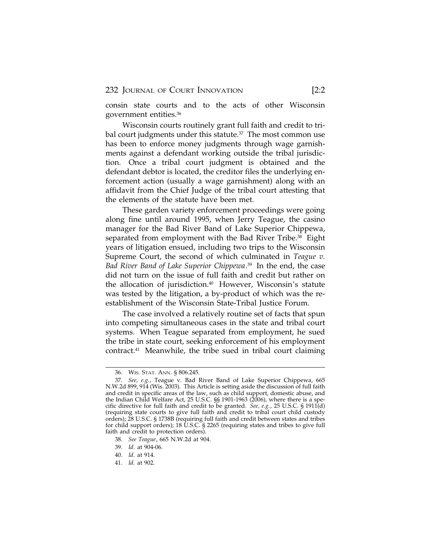consin state courts and to the acts of other Wisconsin government entities.36

Wisconsin courts routinely grant full faith and credit to tribal court judgments under this statute. $37$  The most common use has been to enforce money judgments through wage garnishments against a defendant working outside the tribal jurisdiction. Once a tribal court judgment is obtained and the defendant debtor is located, the creditor files the underlying enforcement action (usually a wage garnishment) along with an affidavit from the Chief Judge of the tribal court attesting that the elements of the statute have been met.

These garden variety enforcement proceedings were going along fine until around 1995, when Jerry Teague, the casino manager for the Bad River Band of Lake Superior Chippewa, separated from employment with the Bad River Tribe.<sup>38</sup> Eight years of litigation ensued, including two trips to the Wisconsin Supreme Court, the second of which culminated in *Teague v. Bad River Band of Lake Superior Chippewa*. 39 In the end, the case did not turn on the issue of full faith and credit but rather on the allocation of jurisdiction.40 However, Wisconsin's statute was tested by the litigation, a by-product of which was the reestablishment of the Wisconsin State-Tribal Justice Forum.

The case involved a relatively routine set of facts that spun into competing simultaneous cases in the state and tribal court systems. When Teague separated from employment, he sued the tribe in state court, seeking enforcement of his employment contract.41 Meanwhile, the tribe sued in tribal court claiming

39. *Id.* at 904-06.

41. *Id.* at 902.

<sup>36.</sup> WIS. STAT. ANN. § 806.245.

<sup>37.</sup> *See, e.g.*, Teague v. Bad River Band of Lake Superior Chippewa, 665 N.W.2d 899, 914 (Wis. 2003). This Article is setting aside the discussion of full faith and credit in specific areas of the law, such as child support, domestic abuse, and the Indian Child Welfare Act, 25 U.S.C. §§ 1901-1963 (2006), where there is a specific directive for full faith and credit to be granted. *See, e.g.*, 25 U.S.C. § 1911(d) (requiring state courts to give full faith and credit to tribal court child custody orders); 28 U.S.C. § 1738B (requiring full faith and credit between states and tribes for child support orders); 18 U.S.C. § 2265 (requiring states and tribes to give full faith and credit to protection orders).

<sup>38.</sup> *See Teague*, 665 N.W.2d at 904.

<sup>40.</sup> *Id.* at 914.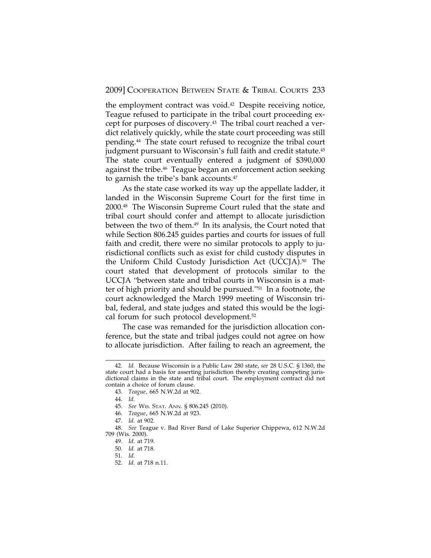the employment contract was void.<sup>42</sup> Despite receiving notice, Teague refused to participate in the tribal court proceeding except for purposes of discovery.43 The tribal court reached a verdict relatively quickly, while the state court proceeding was still pending.44 The state court refused to recognize the tribal court judgment pursuant to Wisconsin's full faith and credit statute.45 The state court eventually entered a judgment of \$390,000 against the tribe.<sup>46</sup> Teague began an enforcement action seeking to garnish the tribe's bank accounts.<sup>47</sup>

As the state case worked its way up the appellate ladder, it landed in the Wisconsin Supreme Court for the first time in 2000.48 The Wisconsin Supreme Court ruled that the state and tribal court should confer and attempt to allocate jurisdiction between the two of them.<sup>49</sup> In its analysis, the Court noted that while Section 806.245 guides parties and courts for issues of full faith and credit, there were no similar protocols to apply to jurisdictional conflicts such as exist for child custody disputes in the Uniform Child Custody Jurisdiction Act (UCCJA).50 The court stated that development of protocols similar to the UCCJA "between state and tribal courts in Wisconsin is a matter of high priority and should be pursued."51 In a footnote, the court acknowledged the March 1999 meeting of Wisconsin tribal, federal, and state judges and stated this would be the logical forum for such protocol development.52

The case was remanded for the jurisdiction allocation conference, but the state and tribal judges could not agree on how to allocate jurisdiction. After failing to reach an agreement, the

<sup>42.</sup> *Id.* Because Wisconsin is a Public Law 280 state, *see* 28 U.S.C. § 1360, the state court had a basis for asserting jurisdiction thereby creating competing jurisdictional claims in the state and tribal court. The employment contract did not contain a choice of forum clause.

<sup>43.</sup> *Teague*, 665 N.W.2d at 902.

<sup>44.</sup> *Id.*

<sup>45.</sup> *See* WIS. STAT. ANN. § 806.245 (2010).

<sup>46.</sup> *Teague*, 665 N.W.2d at 923.

<sup>47.</sup> *Id.* at 902.

<sup>48.</sup> *See* Teague v. Bad River Band of Lake Superior Chippewa, 612 N.W.2d 709 (Wis. 2000).

<sup>49.</sup> *Id.* at 719.

<sup>50.</sup> *Id.* at 718.

<sup>51.</sup> *Id.*

<sup>52.</sup> *Id.* at 718 n.11.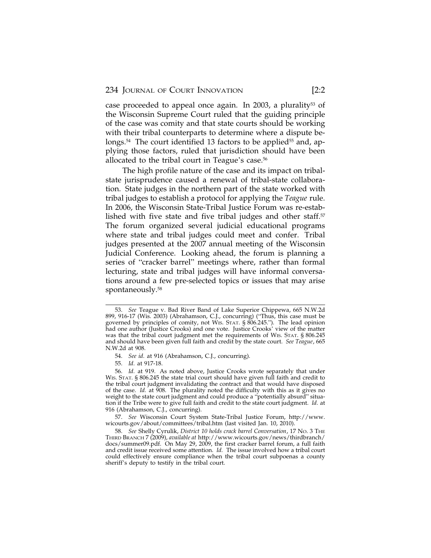case proceeded to appeal once again. In 2003, a plurality<sup>53</sup> of the Wisconsin Supreme Court ruled that the guiding principle of the case was comity and that state courts should be working with their tribal counterparts to determine where a dispute belongs.<sup>54</sup> The court identified 13 factors to be applied<sup>55</sup> and, applying those factors, ruled that jurisdiction should have been allocated to the tribal court in Teague's case.<sup>56</sup>

The high profile nature of the case and its impact on tribalstate jurisprudence caused a renewal of tribal-state collaboration. State judges in the northern part of the state worked with tribal judges to establish a protocol for applying the *Teague* rule. In 2006, the Wisconsin State-Tribal Justice Forum was re-established with five state and five tribal judges and other staff. $57$ The forum organized several judicial educational programs where state and tribal judges could meet and confer. Tribal judges presented at the 2007 annual meeting of the Wisconsin Judicial Conference. Looking ahead, the forum is planning a series of "cracker barrel" meetings where, rather than formal lecturing, state and tribal judges will have informal conversations around a few pre-selected topics or issues that may arise spontaneously.58

<sup>53.</sup> *See* Teague v. Bad River Band of Lake Superior Chippewa, 665 N.W.2d 899, 916-17 (Wis. 2003) (Abrahamson, C.J., concurring) ("Thus, this case must be governed by principles of comity, not WIS. STAT. § 806.245."). The lead opinion had one author (Justice Crooks) and one vote. Justice Crooks' view of the matter was that the tribal court judgment met the requirements of WIS. STAT. § 806.245 and should have been given full faith and credit by the state court. *See Teague*, 665 N.W.2d at 908.

<sup>54.</sup> *See id.* at 916 (Abrahamson, C.J., concurring).

<sup>55.</sup> *Id.* at 917-18.

<sup>56.</sup> *Id.* at 919. As noted above, Justice Crooks wrote separately that under WIS. STAT. § 806.245 the state trial court should have given full faith and credit to the tribal court judgment invalidating the contract and that would have disposed of the case. *Id.* at 908. The plurality noted the difficulty with this as it gives no weight to the state court judgment and could produce a "potentially absurd" situation if the Tribe were to give full faith and credit to the state court judgment. *Id.* at 916 (Abrahamson, C.J., concurring).

<sup>57.</sup> *See* Wisconsin Court System State-Tribal Justice Forum, http://www. wicourts.gov/about/committees/tribal.htm (last visited Jan. 10, 2010).

<sup>58.</sup> *See* Shelly Cyrulik, *District 10 holds crack barrel Conversation*, 17 NO. 3 THE THIRD BRANCH 7 (2009), *available at* http://www.wicourts.gov/news/thirdbranch/ docs/summer09.pdf. On May 29, 2009, the first cracker barrel forum, a full faith and credit issue received some attention. *Id.* The issue involved how a tribal court could effectively ensure compliance when the tribal court subpoenas a county sheriff's deputy to testify in the tribal court.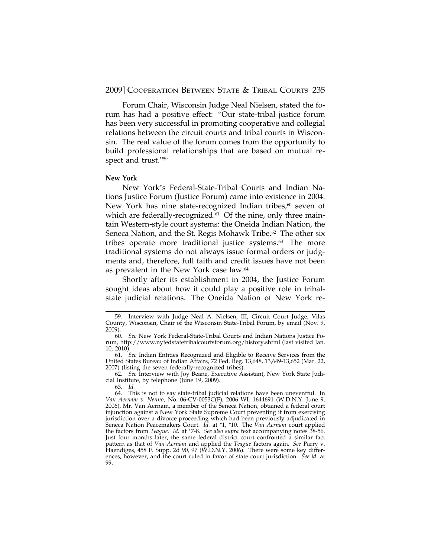Forum Chair, Wisconsin Judge Neal Nielsen, stated the forum has had a positive effect: "Our state-tribal justice forum has been very successful in promoting cooperative and collegial relations between the circuit courts and tribal courts in Wisconsin. The real value of the forum comes from the opportunity to build professional relationships that are based on mutual respect and trust."<sup>59</sup>

## **New York**

New York's Federal-State-Tribal Courts and Indian Nations Justice Forum (Justice Forum) came into existence in 2004: New York has nine state-recognized Indian tribes, $60$  seven of which are federally-recognized.<sup>61</sup> Of the nine, only three maintain Western-style court systems: the Oneida Indian Nation, the Seneca Nation, and the St. Regis Mohawk Tribe.<sup>62</sup> The other six tribes operate more traditional justice systems.63 The more traditional systems do not always issue formal orders or judgments and, therefore, full faith and credit issues have not been as prevalent in the New York case law.64

Shortly after its establishment in 2004, the Justice Forum sought ideas about how it could play a positive role in tribalstate judicial relations. The Oneida Nation of New York re-

62. *See* Interview with Joy Beane, Executive Assistant, New York State Judicial Institute, by telephone (June 19, 2009).

<sup>59.</sup> Interview with Judge Neal A. Nielsen, III, Circuit Court Judge, Vilas County, Wisconsin, Chair of the Wisconsin State-Tribal Forum, by email (Nov. 9, 2009).

<sup>60.</sup> *See* New York Federal-State-Tribal Courts and Indian Nations Justice Forum, http://www.nyfedstatetribalcourtsforum.org/history.shtml (last visited Jan. 10, 2010).

<sup>61.</sup> *See* Indian Entities Recognized and Eligible to Receive Services from the United States Bureau of Indian Affairs, 72 Fed. Reg. 13,648, 13,649-13,652 (Mar. 22, 2007) (listing the seven federally-recognized tribes).

<sup>63.</sup> *Id.*

<sup>64.</sup> This is not to say state-tribal judicial relations have been uneventful. In *Van Aernam v. Nenno*, No. 06-CV-0053C(F), 2006 WL 1644691 (W.D.N.Y. June 9, 2006), Mr. Van Aernam, a member of the Seneca Nation, obtained a federal court injunction against a New York State Supreme Court preventing it from exercising jurisdiction over a divorce proceeding which had been previously adjudicated in Seneca Nation Peacemakers Court. *Id.* at \*1, \*10. The *Van Aernam* court applied the factors from *Teague*. *Id.* at \*7-8. *See also supra* text accompanying notes 38-56. Just four months later, the same federal district court confronted a similar fact pattern as that of *Van Aernam* and applied the *Teague* factors again. *See* Parry v. Haendiges, 458 F. Supp. 2d 90, 97 (W.D.N.Y. 2006). There were some key differences, however, and the court ruled in favor of state court jurisdiction. *See id.* at 99.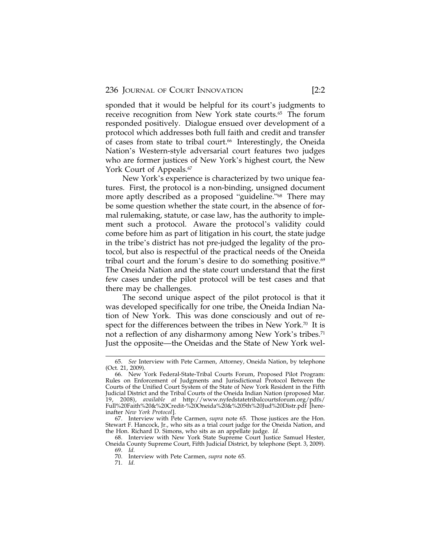sponded that it would be helpful for its court's judgments to receive recognition from New York state courts.<sup>65</sup> The forum responded positively. Dialogue ensued over development of a protocol which addresses both full faith and credit and transfer of cases from state to tribal court.<sup>66</sup> Interestingly, the Oneida Nation's Western-style adversarial court features two judges who are former justices of New York's highest court, the New York Court of Appeals.<sup>67</sup>

New York's experience is characterized by two unique features. First, the protocol is a non-binding, unsigned document more aptly described as a proposed "guideline."<sup>68</sup> There may be some question whether the state court, in the absence of formal rulemaking, statute, or case law, has the authority to implement such a protocol. Aware the protocol's validity could come before him as part of litigation in his court, the state judge in the tribe's district has not pre-judged the legality of the protocol, but also is respectful of the practical needs of the Oneida tribal court and the forum's desire to do something positive.<sup>69</sup> The Oneida Nation and the state court understand that the first few cases under the pilot protocol will be test cases and that there may be challenges.

The second unique aspect of the pilot protocol is that it was developed specifically for one tribe, the Oneida Indian Nation of New York. This was done consciously and out of respect for the differences between the tribes in New York.<sup>70</sup> It is not a reflection of any disharmony among New York's tribes.<sup>71</sup> Just the opposite—the Oneidas and the State of New York wel-

<sup>65.</sup> *See* Interview with Pete Carmen, Attorney, Oneida Nation, by telephone (Oct. 21, 2009).

<sup>66.</sup> New York Federal-State-Tribal Courts Forum, Proposed Pilot Program: Rules on Enforcement of Judgments and Jurisdictional Protocol Between the Courts of the Unified Court System of the State of New York Resident in the Fifth Judicial District and the Tribal Courts of the Oneida Indian Nation (proposed Mar. 19, 2008), *available at* http://www.nyfedstatetribalcourtsforum.org/pdfs/ Full%20Faith%20&%20Credit-%20Oneida%20&%205th%20Jud%20Distr.pdf [hereinafter *New York Protocol*].

<sup>67.</sup> Interview with Pete Carmen, *supra* note 65. Those justices are the Hon. Stewart F. Hancock, Jr., who sits as a trial court judge for the Oneida Nation, and the Hon. Richard D. Simons, who sits as an appellate judge. *Id.*

<sup>68.</sup> Interview with New York State Supreme Court Justice Samuel Hester, Oneida County Supreme Court, Fifth Judicial District, by telephone (Sept. 3, 2009). 69. *Id.*

<sup>70.</sup> Interview with Pete Carmen, *supra* note 65.

<sup>71.</sup> *Id.*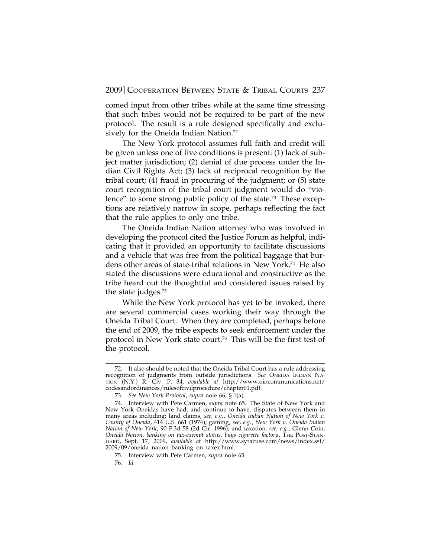comed input from other tribes while at the same time stressing that such tribes would not be required to be part of the new protocol. The result is a rule designed specifically and exclusively for the Oneida Indian Nation.<sup>72</sup>

The New York protocol assumes full faith and credit will be given unless one of five conditions is present: (1) lack of subject matter jurisdiction; (2) denial of due process under the Indian Civil Rights Act; (3) lack of reciprocal recognition by the tribal court; (4) fraud in procuring of the judgment; or (5) state court recognition of the tribal court judgment would do "violence" to some strong public policy of the state.<sup>73</sup> These exceptions are relatively narrow in scope, perhaps reflecting the fact that the rule applies to only one tribe.

The Oneida Indian Nation attorney who was involved in developing the protocol cited the Justice Forum as helpful, indicating that it provided an opportunity to facilitate discussions and a vehicle that was free from the political baggage that burdens other areas of state-tribal relations in New York.74 He also stated the discussions were educational and constructive as the tribe heard out the thoughtful and considered issues raised by the state judges.75

While the New York protocol has yet to be invoked, there are several commercial cases working their way through the Oneida Tribal Court. When they are completed, perhaps before the end of 2009, the tribe expects to seek enforcement under the protocol in New York state court.76 This will be the first test of the protocol.

<sup>72.</sup> It also should be noted that the Oneida Tribal Court has a rule addressing recognition of judgments from outside jurisdictions. *See* ONEIDA INDIAN NA-TION (N.Y.) R. CIV. P. 34, *available at* http://www.oincommunications.net/ codesandordinances/rulesofcivilprocedure/chapter01.pdf.

<sup>73.</sup> *See New York Protocol*, *supra* note 66, § 1(a).

<sup>74.</sup> Interview with Pete Carmen, *supra* note 65. The State of New York and New York Oneidas have had, and continue to have, disputes between them in many areas including: land claims, *see, e.g.*, *Oneida Indian Nation of New York v. County of Oneida*, 414 U.S. 661 (1974); gaming, *see, e.g.*, *New York v. Oneida Indian Nation of New York*, 90 F.3d 58 (2d Cir. 1996); and taxation, *see, e.g.*, Glenn Coin, *Oneida Nation, banking on tax-exempt status, buys cigarette factory*, THE POST-STAN-DARD, Sept. 17, 2009, *available at* http://www.syracuse.com/news/index.ssf/ 2009/09/oneida\_nation\_banking\_on\_taxex.html.

<sup>75.</sup> Interview with Pete Carmen, *supra* note 65.

<sup>76.</sup> *Id.*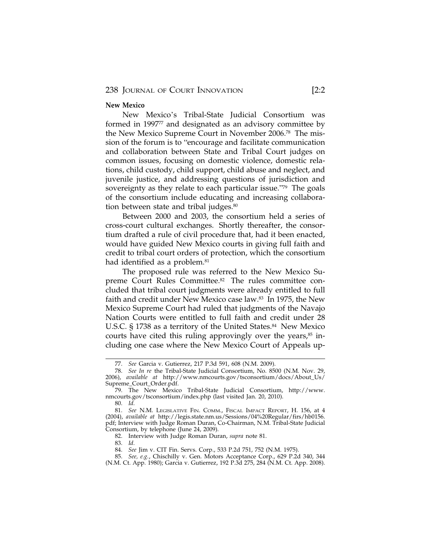#### **New Mexico**

New Mexico's Tribal-State Judicial Consortium was formed in 1997<sup>77</sup> and designated as an advisory committee by the New Mexico Supreme Court in November 2006.78 The mission of the forum is to "encourage and facilitate communication and collaboration between State and Tribal Court judges on common issues, focusing on domestic violence, domestic relations, child custody, child support, child abuse and neglect, and juvenile justice, and addressing questions of jurisdiction and sovereignty as they relate to each particular issue."79 The goals of the consortium include educating and increasing collaboration between state and tribal judges.<sup>80</sup>

Between 2000 and 2003, the consortium held a series of cross-court cultural exchanges. Shortly thereafter, the consortium drafted a rule of civil procedure that, had it been enacted, would have guided New Mexico courts in giving full faith and credit to tribal court orders of protection, which the consortium had identified as a problem.<sup>81</sup>

The proposed rule was referred to the New Mexico Supreme Court Rules Committee.<sup>82</sup> The rules committee concluded that tribal court judgments were already entitled to full faith and credit under New Mexico case law.83 In 1975, the New Mexico Supreme Court had ruled that judgments of the Navajo Nation Courts were entitled to full faith and credit under 28 U.S.C. § 1738 as a territory of the United States.<sup>84</sup> New Mexico courts have cited this ruling approvingly over the years, $85$  including one case where the New Mexico Court of Appeals up-

82. Interview with Judge Roman Duran, *supra* note 81.

83. *Id.*

<sup>77.</sup> *See* Garcia v. Gutierrez, 217 P.3d 591, 608 (N.M. 2009).

<sup>78.</sup> *See In re* the Tribal-State Judicial Consortium, No. 8500 (N.M. Nov. 29, 2006), *available at* http://www.nmcourts.gov/tsconsortium/docs/About\_Us/ Supreme\_Court\_Order.pdf.

<sup>79.</sup> The New Mexico Tribal-State Judicial Consortium, http://www. nmcourts.gov/tsconsortium/index.php (last visited Jan. 20, 2010).

<sup>80.</sup> *Id.*

<sup>81.</sup> *See* N.M. LEGISLATIVE FIN. COMM., FISCAL IMPACT REPORT, H. 156, at 4 (2004), *available at* http://legis.state.nm.us/Sessions/04%20Regular/firs/hb0156. pdf; Interview with Judge Roman Duran, Co-Chairman, N.M. Tribal-State Judicial Consortium, by telephone (June 24, 2009).

<sup>84.</sup> *See* Jim v. CIT Fin. Servs. Corp., 533 P.2d 751, 752 (N.M. 1975).

<sup>85.</sup> *See, e.g.*, Chischilly v. Gen. Motors Acceptance Corp., 629 P.2d 340, 344 (N.M. Ct. App. 1980); Garcia v. Gutierrez, 192 P.3d 275, 284 (N.M. Ct. App. 2008).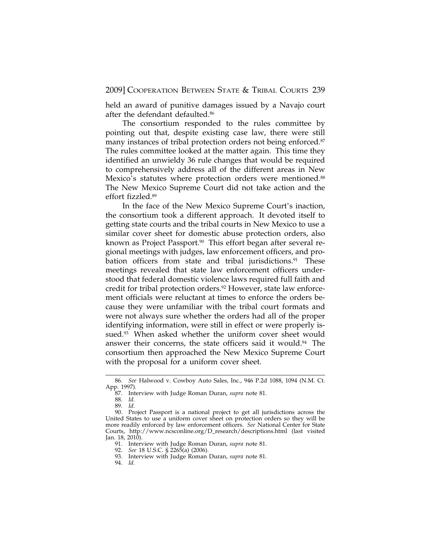held an award of punitive damages issued by a Navajo court after the defendant defaulted.86

The consortium responded to the rules committee by pointing out that, despite existing case law, there were still many instances of tribal protection orders not being enforced.<sup>87</sup> The rules committee looked at the matter again. This time they identified an unwieldy 36 rule changes that would be required to comprehensively address all of the different areas in New Mexico's statutes where protection orders were mentioned.<sup>88</sup> The New Mexico Supreme Court did not take action and the effort fizzled.89

In the face of the New Mexico Supreme Court's inaction, the consortium took a different approach. It devoted itself to getting state courts and the tribal courts in New Mexico to use a similar cover sheet for domestic abuse protection orders, also known as Project Passport.<sup>90</sup> This effort began after several regional meetings with judges, law enforcement officers, and probation officers from state and tribal jurisdictions.<sup>91</sup> These meetings revealed that state law enforcement officers understood that federal domestic violence laws required full faith and credit for tribal protection orders.<sup>92</sup> However, state law enforcement officials were reluctant at times to enforce the orders because they were unfamiliar with the tribal court formats and were not always sure whether the orders had all of the proper identifying information, were still in effect or were properly issued.<sup>93</sup> When asked whether the uniform cover sheet would answer their concerns, the state officers said it would.<sup>94</sup> The consortium then approached the New Mexico Supreme Court with the proposal for a uniform cover sheet.

<sup>86.</sup> *See* Halwood v. Cowboy Auto Sales, Inc., 946 P.2d 1088, 1094 (N.M. Ct. App. 1997).

<sup>87.</sup> Interview with Judge Roman Duran, *supra* note 81.

<sup>88.</sup> *Id.*

<sup>89.</sup> *Id.*

<sup>90.</sup> Project Passport is a national project to get all jurisdictions across the United States to use a uniform cover sheet on protection orders so they will be more readily enforced by law enforcement officers. *See* National Center for State Courts, http://www.ncsconline.org/D\_research/descriptions.html (last visited Jan. 18, 2010).

<sup>91.</sup> Interview with Judge Roman Duran, *supra* note 81.

<sup>92.</sup> *See* 18 U.S.C. § 2265(a) (2006).

<sup>93.</sup> Interview with Judge Roman Duran, *supra* note 81.

<sup>94.</sup> *Id.*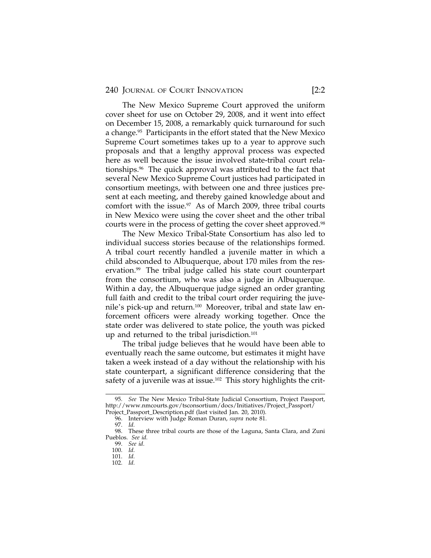240 JOURNAL OF COURT INNOVATION [2:2]

The New Mexico Supreme Court approved the uniform cover sheet for use on October 29, 2008, and it went into effect on December 15, 2008, a remarkably quick turnaround for such a change.<sup>95</sup> Participants in the effort stated that the New Mexico Supreme Court sometimes takes up to a year to approve such proposals and that a lengthy approval process was expected here as well because the issue involved state-tribal court relationships.96 The quick approval was attributed to the fact that several New Mexico Supreme Court justices had participated in consortium meetings, with between one and three justices present at each meeting, and thereby gained knowledge about and comfort with the issue.<sup>97</sup> As of March 2009, three tribal courts in New Mexico were using the cover sheet and the other tribal courts were in the process of getting the cover sheet approved.<sup>98</sup>

The New Mexico Tribal-State Consortium has also led to individual success stories because of the relationships formed. A tribal court recently handled a juvenile matter in which a child absconded to Albuquerque, about 170 miles from the reservation.<sup>99</sup> The tribal judge called his state court counterpart from the consortium, who was also a judge in Albuquerque. Within a day, the Albuquerque judge signed an order granting full faith and credit to the tribal court order requiring the juvenile's pick-up and return.100 Moreover, tribal and state law enforcement officers were already working together. Once the state order was delivered to state police, the youth was picked up and returned to the tribal jurisdiction.<sup>101</sup>

The tribal judge believes that he would have been able to eventually reach the same outcome, but estimates it might have taken a week instead of a day without the relationship with his state counterpart, a significant difference considering that the safety of a juvenile was at issue.<sup>102</sup> This story highlights the crit-

<sup>95.</sup> *See* The New Mexico Tribal-State Judicial Consortium, Project Passport, http://www.nmcourts.gov/tsconsortium/docs/Initiatives/Project\_Passport/ Project\_Passport\_Description.pdf (last visited Jan. 20, 2010).

<sup>96.</sup> Interview with Judge Roman Duran, *supra* note 81.

<sup>97.</sup> *Id.*

<sup>98.</sup> These three tribal courts are those of the Laguna, Santa Clara, and Zuni Pueblos. *See id.*

<sup>99.</sup> *See id.* 100. *Id.*

<sup>101.</sup> *Id.*

<sup>102.</sup> *Id.*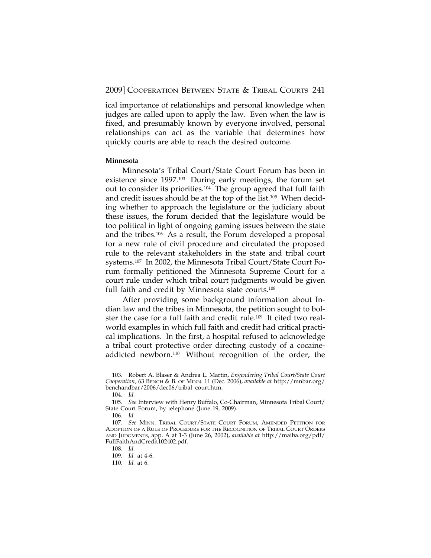ical importance of relationships and personal knowledge when judges are called upon to apply the law. Even when the law is fixed, and presumably known by everyone involved, personal relationships can act as the variable that determines how quickly courts are able to reach the desired outcome.

## **Minnesota**

Minnesota's Tribal Court/State Court Forum has been in existence since 1997.103 During early meetings, the forum set out to consider its priorities.104 The group agreed that full faith and credit issues should be at the top of the list.105 When deciding whether to approach the legislature or the judiciary about these issues, the forum decided that the legislature would be too political in light of ongoing gaming issues between the state and the tribes.106 As a result, the Forum developed a proposal for a new rule of civil procedure and circulated the proposed rule to the relevant stakeholders in the state and tribal court systems.107 In 2002, the Minnesota Tribal Court/State Court Forum formally petitioned the Minnesota Supreme Court for a court rule under which tribal court judgments would be given full faith and credit by Minnesota state courts.<sup>108</sup>

After providing some background information about Indian law and the tribes in Minnesota, the petition sought to bolster the case for a full faith and credit rule.109 It cited two realworld examples in which full faith and credit had critical practical implications. In the first, a hospital refused to acknowledge a tribal court protective order directing custody of a cocaineaddicted newborn.110 Without recognition of the order, the

<sup>103.</sup> Robert A. Blaser & Andrea L. Martin, *Engendering Tribal Court/State Court Cooperation*, 63 BENCH & B. OF MINN. 11 (Dec. 2006), *available at* http://mnbar.org/ benchandbar/2006/dec06/tribal\_court.htm.

<sup>104.</sup> *Id.*

<sup>105.</sup> *See* Interview with Henry Buffalo, Co-Chairman, Minnesota Tribal Court/ State Court Forum, by telephone (June 19, 2009).

<sup>106.</sup> *Id.*

<sup>107.</sup> *See* MINN. TRIBAL COURT/STATE COURT FORUM, AMENDED PETITION FOR ADOPTION OF A RULE OF PROCEDURE FOR THE RECOGNITION OF TRIBAL COURT ORDERS AND JUDGMENTS, app. A at 1-3 (June 26, 2002), *available at* http://maiba.org/pdf/ FullFaithAndCredit102402.pdf.

<sup>108.</sup> *Id.*

<sup>109.</sup> *Id.* at 4-6.

<sup>110.</sup> *Id.* at 6.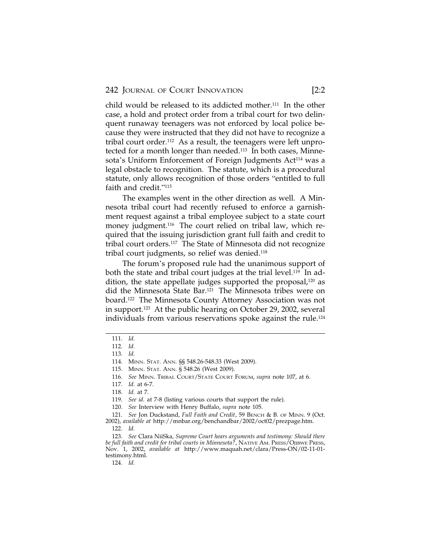child would be released to its addicted mother.111 In the other case, a hold and protect order from a tribal court for two delinquent runaway teenagers was not enforced by local police because they were instructed that they did not have to recognize a tribal court order.112 As a result, the teenagers were left unprotected for a month longer than needed.113 In both cases, Minnesota's Uniform Enforcement of Foreign Judgments Act<sup>114</sup> was a legal obstacle to recognition. The statute, which is a procedural statute, only allows recognition of those orders "entitled to full faith and credit."<sup>115</sup>

The examples went in the other direction as well. A Minnesota tribal court had recently refused to enforce a garnishment request against a tribal employee subject to a state court money judgment.<sup>116</sup> The court relied on tribal law, which required that the issuing jurisdiction grant full faith and credit to tribal court orders.117 The State of Minnesota did not recognize tribal court judgments, so relief was denied.118

The forum's proposed rule had the unanimous support of both the state and tribal court judges at the trial level.<sup>119</sup> In addition, the state appellate judges supported the proposal, $120$  as did the Minnesota State Bar.121 The Minnesota tribes were on board.122 The Minnesota County Attorney Association was not in support.123 At the public hearing on October 29, 2002, several individuals from various reservations spoke against the rule.124

121. *See* Jon Duckstand, *Full Faith and Credit*, 59 BENCH & B. OF MINN. 9 (Oct.

2002), *available at* http://mnbar.org/benchandbar/2002/oct02/prezpage.htm. 122. *Id.*

123. *See* Clara NiiSka, *Supreme Court hears arguments and testimony: Should there be full faith and credit for tribal courts in Minnesota?*, NATIVE AM. PRESS/OJIBWE PRESS, Nov. 1, 2002, *available at* http://www.maquah.net/clara/Press-ON/02-11-01 testimony.html.

124. *Id.*

<sup>111.</sup> *Id.*

<sup>112.</sup> *Id.*

<sup>113.</sup> *Id.*

<sup>114.</sup> MINN. STAT. ANN. §§ 548.26-548.33 (West 2009).

<sup>115.</sup> MINN. STAT. ANN. § 548.26 (West 2009).

<sup>116.</sup> *See* MINN. TRIBAL COURT/STATE COURT FORUM, *supra* note 107, at 6.

<sup>117.</sup> *Id.* at 6-7.

<sup>118.</sup> *Id.* at 7.

<sup>119.</sup> *See id.* at 7-8 (listing various courts that support the rule).

<sup>120.</sup> *See* Interview with Henry Buffalo, *supra* note 105.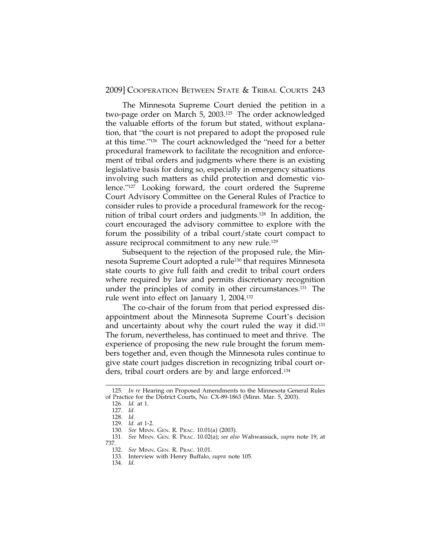The Minnesota Supreme Court denied the petition in a two-page order on March 5, 2003.125 The order acknowledged the valuable efforts of the forum but stated, without explanation, that "the court is not prepared to adopt the proposed rule at this time."126 The court acknowledged the "need for a better procedural framework to facilitate the recognition and enforcement of tribal orders and judgments where there is an existing legislative basis for doing so, especially in emergency situations involving such matters as child protection and domestic violence."127 Looking forward, the court ordered the Supreme Court Advisory Committee on the General Rules of Practice to consider rules to provide a procedural framework for the recognition of tribal court orders and judgments.128 In addition, the court encouraged the advisory committee to explore with the forum the possibility of a tribal court/state court compact to assure reciprocal commitment to any new rule.<sup>129</sup>

Subsequent to the rejection of the proposed rule, the Minnesota Supreme Court adopted a rule130 that requires Minnesota state courts to give full faith and credit to tribal court orders where required by law and permits discretionary recognition under the principles of comity in other circumstances.131 The rule went into effect on January 1, 2004.132

The co-chair of the forum from that period expressed disappointment about the Minnesota Supreme Court's decision and uncertainty about why the court ruled the way it did.<sup>133</sup> The forum, nevertheless, has continued to meet and thrive. The experience of proposing the new rule brought the forum members together and, even though the Minnesota rules continue to give state court judges discretion in recognizing tribal court orders, tribal court orders are by and large enforced.134

<sup>125.</sup> *In re* Hearing on Proposed Amendments to the Minnesota General Rules of Practice for the District Courts, No. CX-89-1863 (Minn. Mar. 5, 2003).

<sup>126.</sup> *Id.* at 1.

<sup>127.</sup> *Id.*

<sup>128.</sup> *Id.*

<sup>129.</sup> *Id.* at 1-2.

<sup>130.</sup> *See* MINN. GEN. R. PRAC. 10.01(a) (2003).

<sup>131.</sup> *See* MINN. GEN. R. PRAC. 10.02(a); *see also* Wahwassuck, *supra* note 19, at 737.

<sup>132.</sup> *See* MINN. GEN. R. PRAC. 10.01.

<sup>133.</sup> Interview with Henry Buffalo, *supra* note 105.

<sup>134.</sup> *Id.*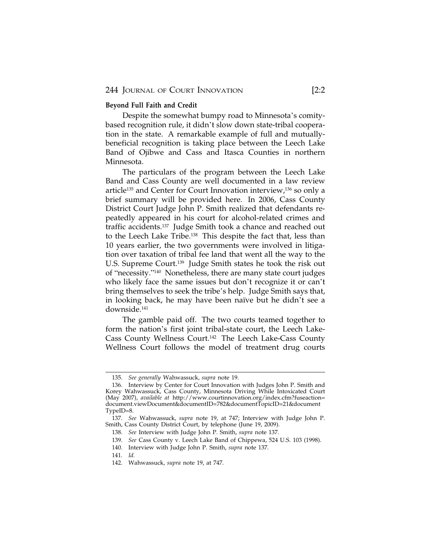## **Beyond Full Faith and Credit**

Despite the somewhat bumpy road to Minnesota's comitybased recognition rule, it didn't slow down state-tribal cooperation in the state. A remarkable example of full and mutuallybeneficial recognition is taking place between the Leech Lake Band of Ojibwe and Cass and Itasca Counties in northern Minnesota.

The particulars of the program between the Leech Lake Band and Cass County are well documented in a law review article135 and Center for Court Innovation interview,136 so only a brief summary will be provided here. In 2006, Cass County District Court Judge John P. Smith realized that defendants repeatedly appeared in his court for alcohol-related crimes and traffic accidents.137 Judge Smith took a chance and reached out to the Leech Lake Tribe.138 This despite the fact that, less than 10 years earlier, the two governments were involved in litigation over taxation of tribal fee land that went all the way to the U.S. Supreme Court.139 Judge Smith states he took the risk out of "necessity."140 Nonetheless, there are many state court judges who likely face the same issues but don't recognize it or can't bring themselves to seek the tribe's help. Judge Smith says that, in looking back, he may have been naïve but he didn't see a downside.141

The gamble paid off. The two courts teamed together to form the nation's first joint tribal-state court, the Leech Lake-Cass County Wellness Court.142 The Leech Lake-Cass County Wellness Court follows the model of treatment drug courts

<sup>135.</sup> *See generally* Wahwassuck, *supra* note 19.

<sup>136.</sup> Interview by Center for Court Innovation with Judges John P. Smith and Korey Wahwassuck, Cass County, Minnesota Driving While Intoxicated Court (May 2007), *available at* http://www.courtinnovation.org/index.cfm?fuseaction= document.viewDocument&documentID=782&documentTopicID=21&document TypeID=8.

<sup>137.</sup> *See* Wahwassuck, *supra* note 19, at 747; Interview with Judge John P. Smith, Cass County District Court, by telephone (June 19, 2009).

<sup>138.</sup> *See* Interview with Judge John P. Smith, *supra* note 137.

<sup>139.</sup> *See* Cass County v. Leech Lake Band of Chippewa, 524 U.S. 103 (1998).

<sup>140.</sup> Interview with Judge John P. Smith, *supra* note 137.

<sup>141.</sup> *Id.*

<sup>142.</sup> Wahwassuck, *supra* note 19, at 747.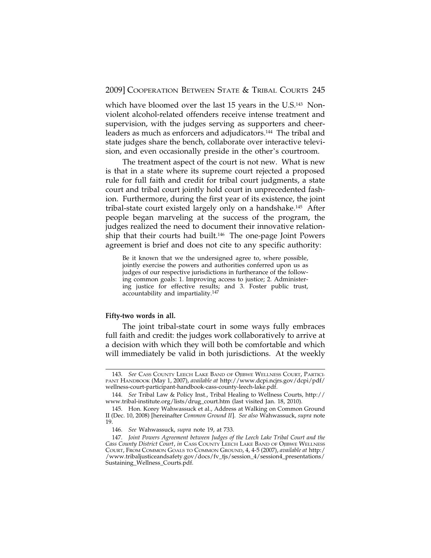which have bloomed over the last 15 years in the U.S.<sup>143</sup> Nonviolent alcohol-related offenders receive intense treatment and supervision, with the judges serving as supporters and cheerleaders as much as enforcers and adjudicators.144 The tribal and state judges share the bench, collaborate over interactive television, and even occasionally preside in the other's courtroom.

The treatment aspect of the court is not new. What is new is that in a state where its supreme court rejected a proposed rule for full faith and credit for tribal court judgments, a state court and tribal court jointly hold court in unprecedented fashion. Furthermore, during the first year of its existence, the joint tribal-state court existed largely only on a handshake.145 After people began marveling at the success of the program, the judges realized the need to document their innovative relationship that their courts had built.<sup>146</sup> The one-page Joint Powers agreement is brief and does not cite to any specific authority:

Be it known that we the undersigned agree to, where possible, jointly exercise the powers and authorities conferred upon us as judges of our respective jurisdictions in furtherance of the following common goals: 1. Improving access to justice; 2. Administering justice for effective results; and 3. Foster public trust, accountability and impartiality.<sup>147</sup>

### **Fifty-two words in all.**

The joint tribal-state court in some ways fully embraces full faith and credit: the judges work collaboratively to arrive at a decision with which they will both be comfortable and which will immediately be valid in both jurisdictions. At the weekly

<sup>143.</sup> *See* CASS COUNTY LEECH LAKE BAND OF OJIBWE WELLNESS COURT, PARTICI-PANT HANDBOOK (May 1, 2007), *available at* http://www.dcpi.ncjrs.gov/dcpi/pdf/ wellness-court-participant-handbook-cass-county-leech-lake.pdf.

<sup>144.</sup> *See* Tribal Law & Policy Inst., Tribal Healing to Wellness Courts, http:// www.tribal-institute.org/lists/drug\_court.htm (last visited Jan. 18, 2010).

<sup>145.</sup> Hon. Korey Wahwassuck et al., Address at Walking on Common Ground II (Dec. 10, 2008) [hereinafter *Common Ground II*]. *See also* Wahwassuck, *supra* note 19.

<sup>146.</sup> *See* Wahwassuck, *supra* note 19, at 733.

<sup>147.</sup> *Joint Powers Agreement between Judges of the Leech Lake Tribal Court and the Cass County District Court*, *in* CASS COUNTY LEECH LAKE BAND OF OJIBWE WELLNESS COURT, FROM COMMON GOALS TO COMMON GROUND, 4, 4-5 (2007), *available at* http:/ /www.tribaljusticeandsafety.gov/docs/fv\_tjs/session\_4/session4\_presentations/ Sustaining\_Wellness\_Courts.pdf.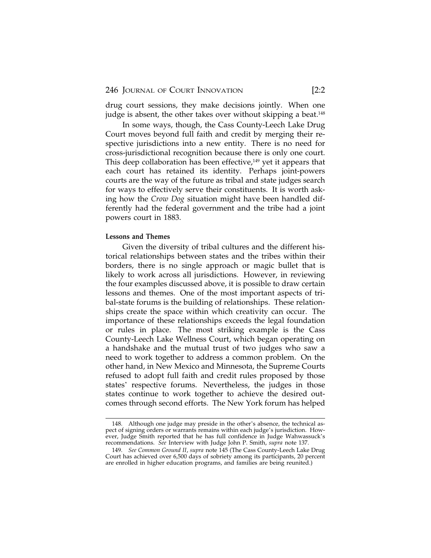drug court sessions, they make decisions jointly. When one judge is absent, the other takes over without skipping a beat.<sup>148</sup>

In some ways, though, the Cass County-Leech Lake Drug Court moves beyond full faith and credit by merging their respective jurisdictions into a new entity. There is no need for cross-jurisdictional recognition because there is only one court. This deep collaboration has been effective, $149$  yet it appears that each court has retained its identity. Perhaps joint-powers courts are the way of the future as tribal and state judges search for ways to effectively serve their constituents. It is worth asking how the *Crow Dog* situation might have been handled differently had the federal government and the tribe had a joint powers court in 1883.

## **Lessons and Themes**

Given the diversity of tribal cultures and the different historical relationships between states and the tribes within their borders, there is no single approach or magic bullet that is likely to work across all jurisdictions. However, in reviewing the four examples discussed above, it is possible to draw certain lessons and themes. One of the most important aspects of tribal-state forums is the building of relationships. These relationships create the space within which creativity can occur. The importance of these relationships exceeds the legal foundation or rules in place. The most striking example is the Cass County-Leech Lake Wellness Court, which began operating on a handshake and the mutual trust of two judges who saw a need to work together to address a common problem. On the other hand, in New Mexico and Minnesota, the Supreme Courts refused to adopt full faith and credit rules proposed by those states' respective forums. Nevertheless, the judges in those states continue to work together to achieve the desired outcomes through second efforts. The New York forum has helped

<sup>148.</sup> Although one judge may preside in the other's absence, the technical aspect of signing orders or warrants remains within each judge's jurisdiction. However, Judge Smith reported that he has full confidence in Judge Wahwassuck's recommendations. *See* Interview with Judge John P. Smith, *supra* note 137.

<sup>149.</sup> *See Common Ground II*, *supra* note 145 (The Cass County-Leech Lake Drug Court has achieved over 6,500 days of sobriety among its participants, 20 percent are enrolled in higher education programs, and families are being reunited.)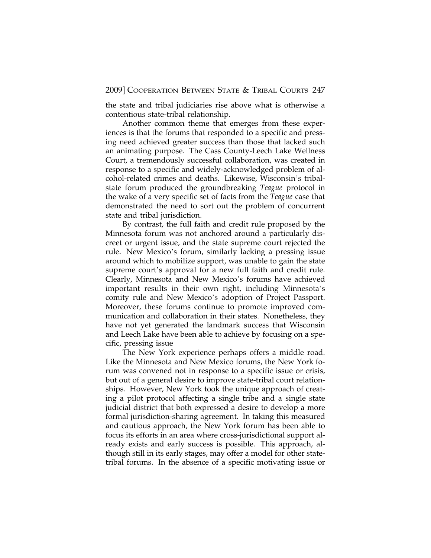the state and tribal judiciaries rise above what is otherwise a contentious state-tribal relationship.

Another common theme that emerges from these experiences is that the forums that responded to a specific and pressing need achieved greater success than those that lacked such an animating purpose. The Cass County-Leech Lake Wellness Court, a tremendously successful collaboration, was created in response to a specific and widely-acknowledged problem of alcohol-related crimes and deaths. Likewise, Wisconsin's tribalstate forum produced the groundbreaking *Teague* protocol in the wake of a very specific set of facts from the *Teague* case that demonstrated the need to sort out the problem of concurrent state and tribal jurisdiction.

By contrast, the full faith and credit rule proposed by the Minnesota forum was not anchored around a particularly discreet or urgent issue, and the state supreme court rejected the rule. New Mexico's forum, similarly lacking a pressing issue around which to mobilize support, was unable to gain the state supreme court's approval for a new full faith and credit rule. Clearly, Minnesota and New Mexico's forums have achieved important results in their own right, including Minnesota's comity rule and New Mexico's adoption of Project Passport. Moreover, these forums continue to promote improved communication and collaboration in their states. Nonetheless, they have not yet generated the landmark success that Wisconsin and Leech Lake have been able to achieve by focusing on a specific, pressing issue

The New York experience perhaps offers a middle road. Like the Minnesota and New Mexico forums, the New York forum was convened not in response to a specific issue or crisis, but out of a general desire to improve state-tribal court relationships. However, New York took the unique approach of creating a pilot protocol affecting a single tribe and a single state judicial district that both expressed a desire to develop a more formal jurisdiction-sharing agreement. In taking this measured and cautious approach, the New York forum has been able to focus its efforts in an area where cross-jurisdictional support already exists and early success is possible. This approach, although still in its early stages, may offer a model for other statetribal forums. In the absence of a specific motivating issue or